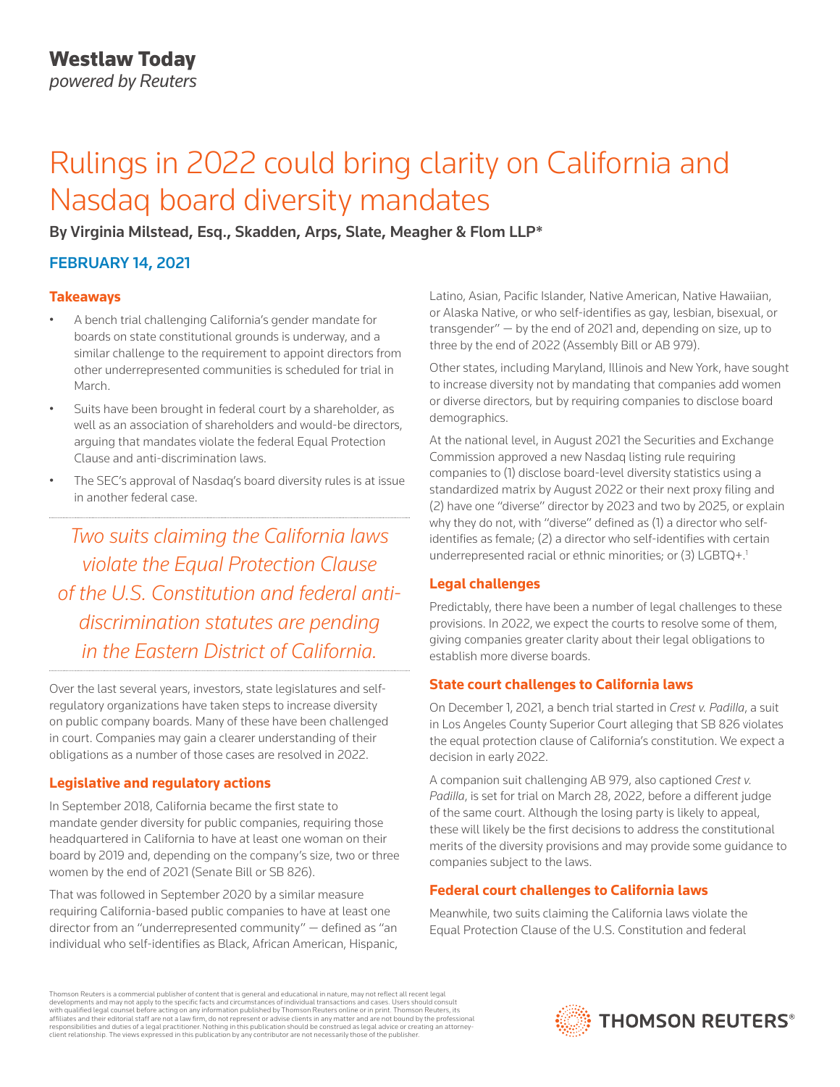# Rulings in 2022 could bring clarity on California and Nasdaq board diversity mandates

By Virginia Milstead, Esq., Skadden, Arps, Slate, Meagher & Flom LLP\*

## FEBRUARY 14, 2021

#### **Takeaways**

- A bench trial challenging California's gender mandate for boards on state constitutional grounds is underway, and a similar challenge to the requirement to appoint directors from other underrepresented communities is scheduled for trial in March.
- Suits have been brought in federal court by a shareholder, as well as an association of shareholders and would-be directors, arguing that mandates violate the federal Equal Protection Clause and anti-discrimination laws.
- The SEC's approval of Nasdaq's board diversity rules is at issue in another federal case.

*Two suits claiming the California laws violate the Equal Protection Clause of the U.S. Constitution and federal antidiscrimination statutes are pending in the Eastern District of California.*

Over the last several years, investors, state legislatures and selfregulatory organizations have taken steps to increase diversity on public company boards. Many of these have been challenged in court. Companies may gain a clearer understanding of their obligations as a number of those cases are resolved in 2022.

## **Legislative and regulatory actions**

In September 2018, California became the first state to mandate gender diversity for public companies, requiring those headquartered in California to have at least one woman on their board by 2019 and, depending on the company's size, two or three women by the end of 2021 (Senate Bill or SB 826).

That was followed in September 2020 by a similar measure requiring California-based public companies to have at least one director from an "underrepresented community" — defined as "an individual who self-identifies as Black, African American, Hispanic, Latino, Asian, Pacific Islander, Native American, Native Hawaiian, or Alaska Native, or who self-identifies as gay, lesbian, bisexual, or transgender" — by the end of 2021 and, depending on size, up to three by the end of 2022 (Assembly Bill or AB 979).

Other states, including Maryland, Illinois and New York, have sought to increase diversity not by mandating that companies add women or diverse directors, but by requiring companies to disclose board demographics.

At the national level, in August 2021 the Securities and Exchange Commission approved a new Nasdaq listing rule requiring companies to (1) disclose board-level diversity statistics using a standardized matrix by August 2022 or their next proxy filing and (2) have one "diverse" director by 2023 and two by 2025, or explain why they do not, with "diverse" defined as (1) a director who selfidentifies as female; (2) a director who self-identifies with certain underrepresented racial or ethnic minorities; or (3) LGBTQ+.<sup>1</sup>

## **Legal challenges**

Predictably, there have been a number of legal challenges to these provisions. In 2022, we expect the courts to resolve some of them, giving companies greater clarity about their legal obligations to establish more diverse boards.

## **State court challenges to California laws**

On December 1, 2021, a bench trial started in *Crest v. Padilla*, a suit in Los Angeles County Superior Court alleging that SB 826 violates the equal protection clause of California's constitution. We expect a decision in early 2022.

A companion suit challenging AB 979, also captioned *Crest v. Padilla*, is set for trial on March 28, 2022, before a different judge of the same court. Although the losing party is likely to appeal, these will likely be the first decisions to address the constitutional merits of the diversity provisions and may provide some guidance to companies subject to the laws.

## **Federal court challenges to California laws**

Meanwhile, two suits claiming the California laws violate the Equal Protection Clause of the U.S. Constitution and federal

Thomson Reuters is a commercial publisher of content that is general and educational in nature, may not reflect all recent legal developments and may not apply to the specific facts and circumstances of individual transactions and cases. Users should consult<br>with qualified legal counsel before acting on any information published by Thomson Reuters o responsibilities and duties of a legal practitioner. Nothing in this publication should be construed as legal advice or creating an attorneyclient relationship. The views expressed in this publication by any contributor are not necessarily those of the publisher.